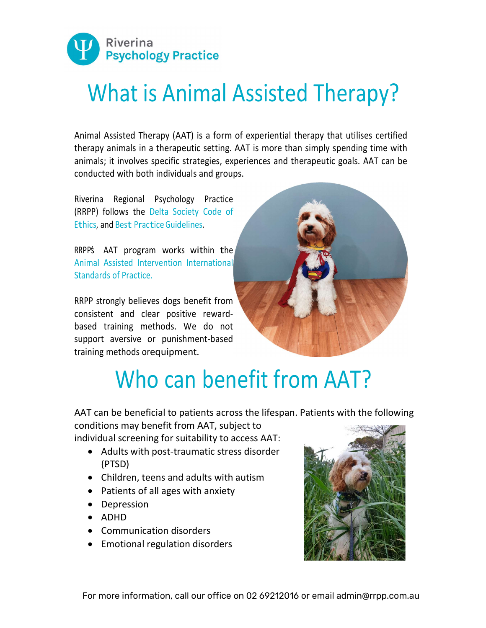

## What is Animal Assisted Therapy?

Animal Assisted Therapy (AAT) is a form of experiential therapy that utilises certified therapy animals in a therapeutic setting. AAT is more than simply spending time with animals; it involves specific strategies, experiences and therapeutic goals. AAT can be conducted with both individuals and groups.

Riverina Regional Psychology Practice (RRPP) follows the Delta Society Code of Ethics, and Best Practice Guidelines.<br>RRPPS AAT program works within the

Animal Assisted Intervention International Standards of Practice.

RRPP strongly believes dogs benefit from consistent and clear positive rewardbased training methods. We do not support aversive or punishment-based training methods or equipment.



## Who can benefit from AAT?

AAT can be beneficial to patients across the lifespan. Patients with the following conditions may benefit from AAT, subject to

individual screening for suitability to access AAT:

- Adults with post-traumatic stress disorder (PTSD)
- Children, teens and adults with autism
- Patients of all ages with anxiety
- Depression
- ADHD
- Communication disorders
- Emotional regulation disorders

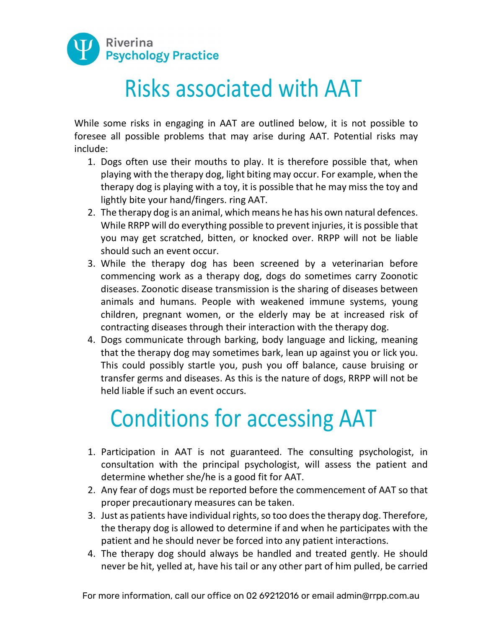

## Risks associated with AAT

While some risks in engaging in AAT are outlined below, it is not possible to foresee all possible problems that may arise during AAT. Potential risks may include:

- 1. Dogs often use their mouths to play. It is therefore possible that, when playing with the therapy dog, light biting may occur. For example, when the therapy dog is playing with a toy, it is possible that he may miss the toy and lightly bite your hand/fingers. ring AAT.
- 2. The therapy dog is an animal, which means he has his own natural defences. While RRPP will do everything possible to prevent injuries, it is possible that you may get scratched, bitten, or knocked over. RRPP will not be liable should such an event occur.
- 3. While the therapy dog has been screened by a veterinarian before commencing work as a therapy dog, dogs do sometimes carry Zoonotic diseases. Zoonotic disease transmission is the sharing of diseases between animals and humans. People with weakened immune systems, young children, pregnant women, or the elderly may be at increased risk of contracting diseases through their interaction with the therapy dog.
- 4. Dogs communicate through barking, body language and licking, meaning that the therapy dog may sometimes bark, lean up against you or lick you. This could possibly startle you, push you off balance, cause bruising or transfer germs and diseases. As this is the nature of dogs, RRPP will not be held liable if such an event occurs.

## Conditions for accessing AAT

- 1. Participation in AAT is not guaranteed. The consulting psychologist, in consultation with the principal psychologist, will assess the patient and determine whether she/he is a good fit for AAT.
- 2. Any fear of dogs must be reported before the commencement of AAT so that proper precautionary measures can be taken.
- 3. Just as patients have individual rights, so too does the therapy dog. Therefore, the therapy dog is allowed to determine if and when he participates with the patient and he should never be forced into any patient interactions.
- 4. The therapy dog should always be handled and treated gently. He should never be hit, yelled at, have his tail or any other part of him pulled, be carried

For more information, call our office on 02 69212016 or email admin@rrpp.com.au